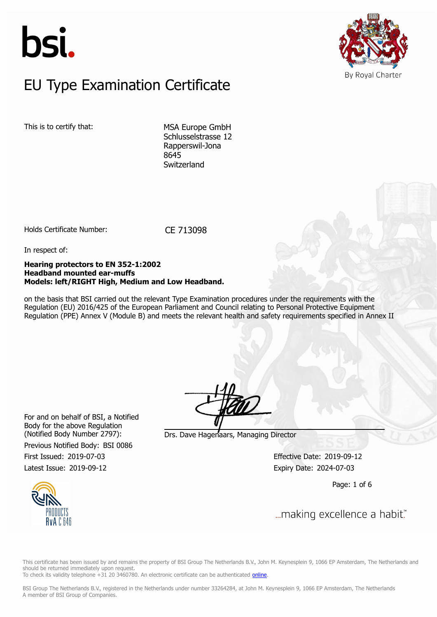



### $E$ U Type Examination Certific EU Type Examination Certificate

This is to certify that: MSA Europe GmbH

Schlusselstrasse 12 Rapperswil-Jona 8645 Switzerland

Holds Certificate Number: CE 713098

In respect of:

#### **Hearing protectors to EN 352-1:2002 Headband mounted ear-muffs Models: left/RIGHT High, Medium and Low Headband.**

on the basis that BSI carried out the relevant Type Examination procedures under the requirements with the Regulation (EU) 2016/425 of the European Parliament and Council relating to Personal Protective Equipment Regulation (PPE) Annex V (Module B) and meets the relevant health and safety requirements specified in Annex II

For and on behalf of BSI, a Notified Body for the above Regulation

Previous Notified Body: BSI 0086

(Notified Body Number 2797): Drs. Dave Hagenaars, Managing Director

First Issued: 2019-07-03 Effective Date: 2019-09-12 Latest Issue: 2019-09-12 Expiry Date: 2024-07-03

Page: 1 of 6



This certificate has been issued by and remains the property of BSI Group The Netherlands B.V., John M. Keynesplein 9, 1066 EP Amsterdam, The Netherlands and should be returned immediately upon request.

To check its validity telephone +31 20 3460780. An electronic certificate can be authenticated *online*.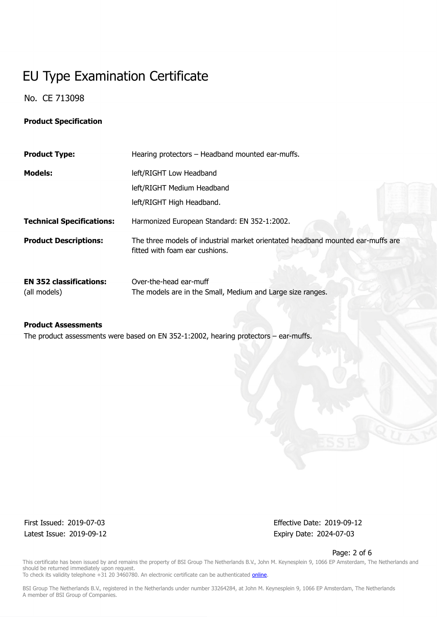No. CE 713098

### **Product Specification**

| <b>Product Type:</b>                           | Hearing protectors - Headband mounted ear-muffs.                                                                  |
|------------------------------------------------|-------------------------------------------------------------------------------------------------------------------|
| <b>Models:</b>                                 | left/RIGHT Low Headband                                                                                           |
|                                                | left/RIGHT Medium Headband                                                                                        |
|                                                | left/RIGHT High Headband.                                                                                         |
| <b>Technical Specifications:</b>               | Harmonized European Standard: EN 352-1:2002.                                                                      |
| <b>Product Descriptions:</b>                   | The three models of industrial market orientated headband mounted ear-muffs are<br>fitted with foam ear cushions. |
| <b>EN 352 classifications:</b><br>(all models) | Over-the-head ear-muff<br>The models are in the Small, Medium and Large size ranges.                              |

### **Product Assessments**

The product assessments were based on EN 352-1:2002, hearing protectors – ear-muffs.

Latest Issue: 2019-09-12 Expiry Date: 2024-07-03

First Issued: 2019-07-03 Effective Date: 2019-09-12

Page: 2 of 6

This certificate has been issued by and remains the property of BSI Group The Netherlands B.V., John M. Keynesplein 9, 1066 EP Amsterdam, The Netherlands and should be returned immediately upon request. To check its validity telephone +31 20 3460780. An electronic certificate can be authenticated *online*.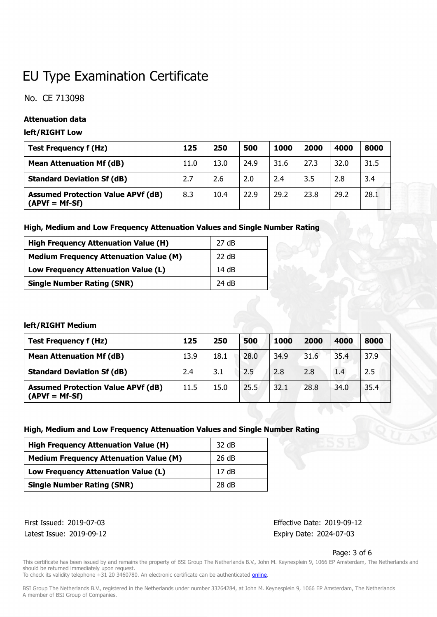No. CE 713098

### **Attenuation data**

### **left/RIGHT Low**

| <b>Test Frequency f (Hz)</b>                                  | 125  | 250  | 500  | 1000 | 2000 | 4000 | 8000 |
|---------------------------------------------------------------|------|------|------|------|------|------|------|
| <b>Mean Attenuation Mf (dB)</b>                               | 11.0 | 13.0 | 24.9 | 31.6 | 27.3 | 32.0 | 31.5 |
| <b>Standard Deviation Sf (dB)</b>                             | 2.7  | 2.6  | 2.0  | 2.4  | 3.5  | 2.8  | 3.4  |
| <b>Assumed Protection Value APVf (dB)</b><br>$(APVf = Mf-Sf)$ | 8.3  | 10.4 | 22.9 | 29.2 | 23.8 | 29.2 | 28.1 |

### **High, Medium and Low Frequency Attenuation Values and Single Number Rating**

| <b>High Frequency Attenuation Value (H)</b>   | 27 dB |
|-----------------------------------------------|-------|
| <b>Medium Frequency Attenuation Value (M)</b> | 22 dB |
| Low Frequency Attenuation Value (L)           | 14dB  |
| <b>Single Number Rating (SNR)</b>             | 24 dB |

### **left/RIGHT Medium**

| <b>Test Frequency f (Hz)</b>                                  | 125  | 250  | 500  | 1000 | 2000 | 4000 | 8000 |
|---------------------------------------------------------------|------|------|------|------|------|------|------|
| <b>Mean Attenuation Mf (dB)</b>                               | 13.9 | 18.1 | 28.0 | 34.9 | 31.6 | 35.4 | 37.9 |
| <b>Standard Deviation Sf (dB)</b>                             | 2.4  | 3.1  | 2.5  | 2.8  | 2.8  | 1.4  | 2.5  |
| <b>Assumed Protection Value APVf (dB)</b><br>$(APVf = Mf-Sf)$ | 11.5 | 15.0 | 25.5 | 32.1 | 28.8 | 34.0 | 35.4 |

### **High, Medium and Low Frequency Attenuation Values and Single Number Rating**

| <b>High Frequency Attenuation Value (H)</b>   | 32 dB |
|-----------------------------------------------|-------|
| <b>Medium Frequency Attenuation Value (M)</b> | 26 dB |
| Low Frequency Attenuation Value (L)           | 17dB  |
| <b>Single Number Rating (SNR)</b>             | 28 dB |

Latest Issue: 2019-09-12 Expiry Date: 2024-07-03

First Issued: 2019-07-03 Effective Date: 2019-09-12

### Page: 3 of 6

This certificate has been issued by and remains the property of BSI Group The Netherlands B.V., John M. Keynesplein 9, 1066 EP Amsterdam, The Netherlands and should be returned immediately upon request.

To check its validity telephone +31 20 3460780. An electronic certificate can be authenticated *online*.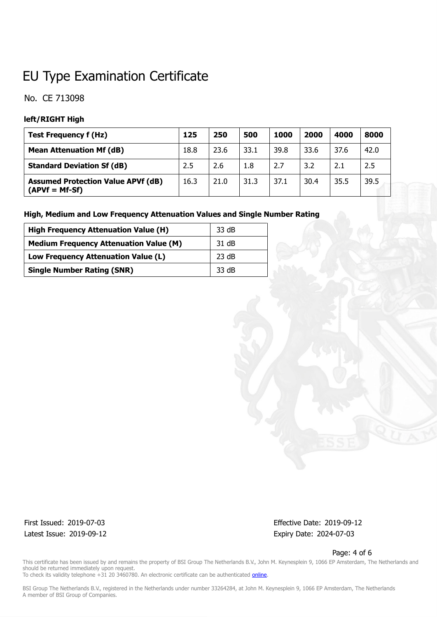### No. CE 713098

### **left/RIGHT High**

| <b>Test Frequency f (Hz)</b>                                  | 125  | 250  | 500  | 1000 | 2000 | 4000 | 8000 |
|---------------------------------------------------------------|------|------|------|------|------|------|------|
| <b>Mean Attenuation Mf (dB)</b>                               | 18.8 | 23.6 | 33.1 | 39.8 | 33.6 | 37.6 | 42.0 |
| <b>Standard Deviation Sf (dB)</b>                             | 2.5  | 2.6  | 1.8  | 2.7  | 3.2  | 2.1  | 2.5  |
| <b>Assumed Protection Value APVf (dB)</b><br>$(APVf = Mf-Sf)$ | 16.3 | 21.0 | 31.3 | 37.1 | 30.4 | 35.5 | 39.5 |

### **High, Medium and Low Frequency Attenuation Values and Single Number Rating**

| <b>High Frequency Attenuation Value (H)</b>   | 33 dB  |
|-----------------------------------------------|--------|
| <b>Medium Frequency Attenuation Value (M)</b> | 31 dB  |
| Low Frequency Attenuation Value (L)           | 23 dB  |
| <b>Single Number Rating (SNR)</b>             | -33 dB |

Latest Issue: 2019-09-12 Expiry Date: 2024-07-03

First Issued: 2019-07-03 Effective Date: 2019-09-12

Page: 4 of 6

This certificate has been issued by and remains the property of BSI Group The Netherlands B.V., John M. Keynesplein 9, 1066 EP Amsterdam, The Netherlands and should be returned immediately upon request.

To check its validity telephone +31 20 3460780. An electronic certificate can be authenticated *online*.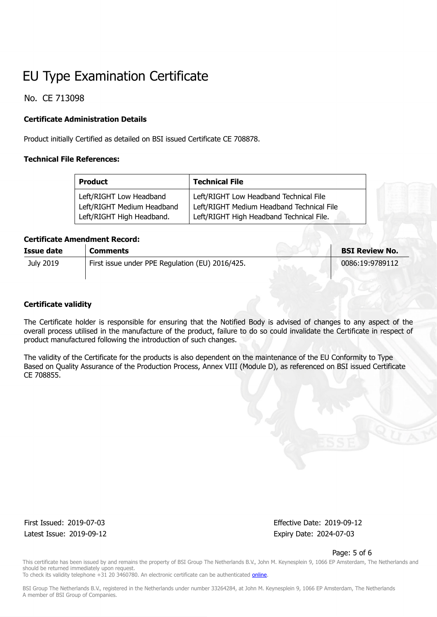No. CE 713098

### **Certificate Administration Details**

Product initially Certified as detailed on BSI issued Certificate CE 708878.

### **Technical File References:**

| <b>Product</b>             | <b>Technical File</b>                     |  |  |  |  |
|----------------------------|-------------------------------------------|--|--|--|--|
| Left/RIGHT Low Headband    | Left/RIGHT Low Headband Technical File    |  |  |  |  |
| Left/RIGHT Medium Headband | Left/RIGHT Medium Headband Technical File |  |  |  |  |
| Left/RIGHT High Headband.  | Left/RIGHT High Headband Technical File.  |  |  |  |  |

### **Certificate Amendment Record:**

| Issue date | <b>Comments</b>                                 | <b>BSI Review No.</b> |
|------------|-------------------------------------------------|-----------------------|
| July 2019  | First issue under PPE Regulation (EU) 2016/425. | 0086:19:9789112       |
|            |                                                 |                       |

### **Certificate validity**

The Certificate holder is responsible for ensuring that the Notified Body is advised of changes to any aspect of the overall process utilised in the manufacture of the product, failure to do so could invalidate the Certificate in respect of product manufactured following the introduction of such changes.

The validity of the Certificate for the products is also dependent on the maintenance of the EU Conformity to Type Based on Quality Assurance of the Production Process, Annex VIII (Module D), as referenced on BSI issued Certificate CE 708855.

Latest Issue: 2019-09-12 Expiry Date: 2024-07-03

First Issued: 2019-07-03 Effective Date: 2019-09-12

Page: 5 of 6

This certificate has been issued by and remains the property of BSI Group The Netherlands B.V., John M. Keynesplein 9, 1066 EP Amsterdam, The Netherlands and should be returned immediately upon request. To check its validity telephone +31 20 3460780. An electronic certificate can be authenticated [online.](https://pgplus.bsigroup.com/CertificateValidation/CertificateValidator.aspx?CertificateNumber=CE 713098&ReIssueDate=12/09/2019&Template=uk)